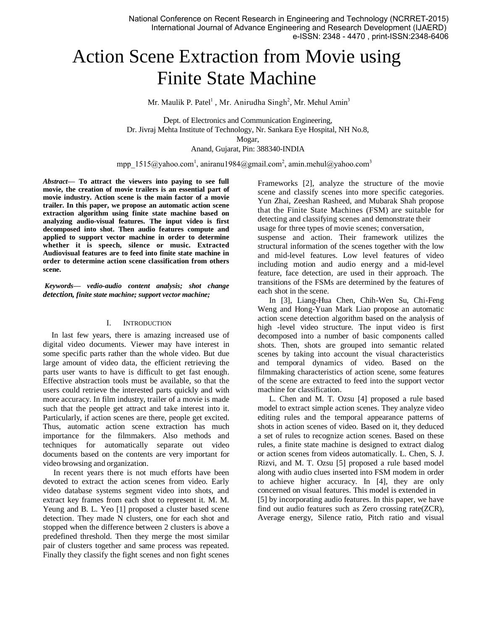# Action Scene Extraction from Movie using Finite State Machine

Mr. Maulik P. Patel<sup>1</sup>, Mr. Anirudha Singh<sup>2</sup>, Mr. Mehul Amin<sup>3</sup>

Dept. of Electronics and Communication Engineering, Dr. Jivraj Mehta Institute of Technology, Nr. Sankara Eye Hospital, NH No.8, Mogar,

Anand, Gujarat, Pin: 388340-INDIA

mpp\_1515@yahoo.com<sup>1</sup>, aniranu1984@gmail.com<sup>2</sup>, amin.mehul@yahoo.com<sup>3</sup>

*Abstract***— To attract the viewers into paying to see full movie, the creation of movie trailers is an essential part of movie industry. Action scene is the main factor of a movie trailer. In this paper, we propose an automatic action scene extraction algorithm using finite state machine based on analyzing audio-visual features. The input video is first decomposed into shot. Then audio features compute and applied to support vector machine in order to determine whether it is speech, silence or music. Extracted Audiovisual features are to feed into finite state machine in order to determine action scene classification from others scene.** 

*Keywords— vedio-audio content analysis; shot change detection, finite state machine; support vector machine;* 

## I. INTRODUCTION

In last few years, there is amazing increased use of digital video documents. Viewer may have interest in some specific parts rather than the whole video. But due large amount of video data, the efficient retrieving the parts user wants to have is difficult to get fast enough. Effective abstraction tools must be available, so that the users could retrieve the interested parts quickly and with more accuracy. In film industry, trailer of a movie is made such that the people get attract and take interest into it. Particularly, if action scenes are there, people get excited. Thus, automatic action scene extraction has much importance for the filmmakers. Also methods and techniques for automatically separate out video documents based on the contents are very important for video browsing and organization.

In recent years there is not much efforts have been devoted to extract the action scenes from video. Early video database systems segment video into shots, and extract key frames from each shot to represent it. M. M. Yeung and B. L. Yeo [1] proposed a cluster based scene detection. They made N clusters, one for each shot and stopped when the difference between 2 clusters is above a predefined threshold. Then they merge the most similar pair of clusters together and same process was repeated. Finally they classify the fight scenes and non fight scenes Frameworks [2], analyze the structure of the movie scene and classify scenes into more specific categories. Yun Zhai, Zeeshan Rasheed, and Mubarak Shah propose that the Finite State Machines (FSM) are suitable for detecting and classifying scenes and demonstrate their usage for three types of movie scenes; conversation,

suspense and action. Their framework utilizes the structural information of the scenes together with the low and mid-level features. Low level features of video including motion and audio energy and a mid-level feature, face detection, are used in their approach. The transitions of the FSMs are determined by the features of each shot in the scene.

In [3], Liang-Hua Chen, Chih-Wen Su, Chi-Feng Weng and Hong-Yuan Mark Liao propose an automatic action scene detection algorithm based on the analysis of high -level video structure. The input video is first decomposed into a number of basic components called shots. Then, shots are grouped into semantic related scenes by taking into account the visual characteristics and temporal dynamics of video. Based on the filmmaking characteristics of action scene, some features of the scene are extracted to feed into the support vector machine for classification.

L. Chen and M. T. Ozsu [4] proposed a rule based model to extract simple action scenes. They analyze video editing rules and the temporal appearance patterns of shots in action scenes of video. Based on it, they deduced a set of rules to recognize action scenes. Based on these rules, a finite state machine is designed to extract dialog or action scenes from videos automatically. L. Chen, S. J. Rizvi, and M. T. Ozsu [5] proposed a rule based model along with audio clues inserted into FSM modem in order to achieve higher accuracy. In [4], they are only concerned on visual features. This model is extended in [5] by incorporating audio features. In this paper, we have find out audio features such as Zero crossing rate(ZCR), Average energy, Silence ratio, Pitch ratio and visual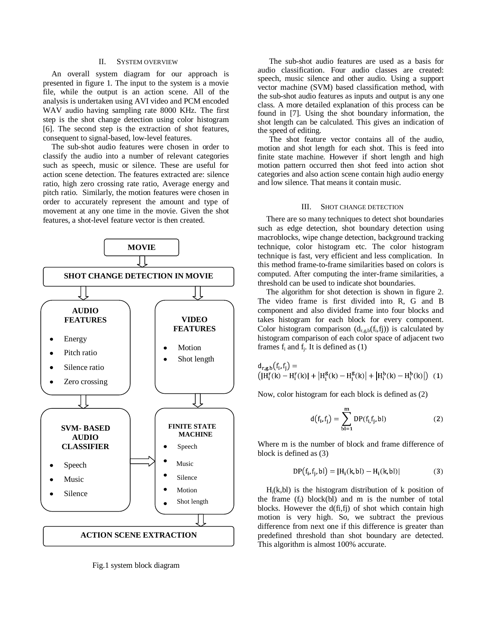### II. SYSTEM OVERVIEW

An overall system diagram for our approach is presented in figure 1. The input to the system is a movie file, while the output is an action scene. All of the analysis is undertaken using AVI video and PCM encoded WAV audio having sampling rate 8000 KHz. The first step is the shot change detection using color histogram [6]. The second step is the extraction of shot features, consequent to signal-based, low-level features.

The sub-shot audio features were chosen in order to classify the audio into a number of relevant categories such as speech, music or silence. These are useful for action scene detection. The features extracted are: silence ratio, high zero crossing rate ratio, Average energy and pitch ratio. Similarly, the motion features were chosen in order to accurately represent the amount and type of movement at any one time in the movie. Given the shot features, a shot-level feature vector is then created.



Fig.1 system block diagram

The sub-shot audio features are used as a basis for audio classification. Four audio classes are created: speech, music silence and other audio. Using a support vector machine (SVM) based classification method, with the sub-shot audio features as inputs and output is any one class. A more detailed explanation of this process can be found in [7]. Using the shot boundary information, the shot length can be calculated. This gives an indication of the speed of editing.

The shot feature vector contains all of the audio, motion and shot length for each shot. This is feed into finite state machine. However if short length and high motion pattern occurred then shot feed into action shot categories and also action scene contain high audio energy and low silence. That means it contain music.

#### III. SHOT CHANGE DETECTION

There are so many techniques to detect shot boundaries such as edge detection, shot boundary detection using macroblocks, wipe change detection, background tracking technique, color histogram etc. The color histogram technique is fast, very efficient and less complication. In this method frame-to-frame similarities based on colors is computed. After computing the inter-frame similarities, a threshold can be used to indicate shot boundaries.

The algorithm for shot detection is shown in figure 2. The video frame is first divided into R, G and B component and also divided frame into four blocks and takes histogram for each block for every component. Color histogram comparison  $(d_{r,s,b}(f_i,f_j))$  is calculated by histogram comparison of each color space of adjacent two frames  $f_i$  and  $f_i$ . It is defined as  $(1)$ 

$$
d_{r,g,b}(f_i, f_j) = (|H_i^g(k) - H_i^g(k) - H_i^g(k)| + |H_i^b(k) - H_i^b(k)|) (1)
$$

Now, color histogram for each block is defined as (2)

$$
d(f_i, f_j) = \sum_{b=1}^{m} DP(f_{i,}f_j, bl)
$$
 (2)

Where m is the number of block and frame difference of block is defined as (3)

$$
DP(fi, fi, bl) = |Hi(k, bl) - Hi(k, bl)|
$$
 (3)

 $H_i(k, bl)$  is the histogram distribution of k position of the frame  $(f_i)$  block $(bl)$  and m is the number of total blocks. However the d(fi,fj) of shot which contain high motion is very high. So, we subtract the previous difference from next one if this difference is greater than predefined threshold than shot boundary are detected. This algorithm is almost 100% accurate.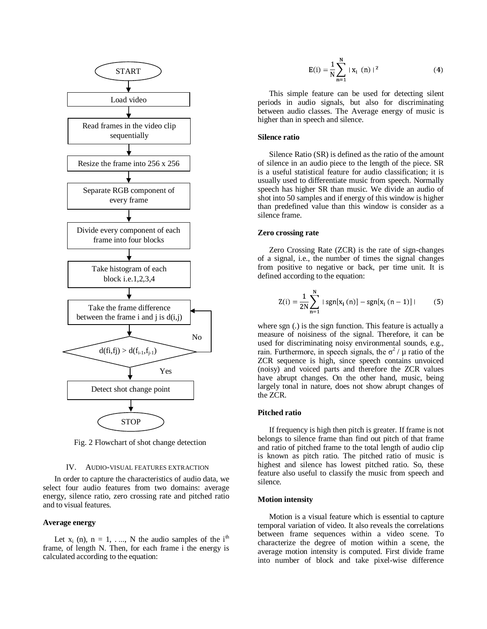

Fig. 2 Flowchart of shot change detection

#### IV. AUDIO-VISUAL FEATURES EXTRACTION

In order to capture the characteristics of audio data, we select four audio features from two domains: average energy, silence ratio, zero crossing rate and pitched ratio and to visual features.

## **Average energy**

Let  $x_i$  (n),  $n = 1, \ldots, N$  the audio samples of the i<sup>th</sup> frame, of length N. Then, for each frame i the energy is calculated according to the equation:

$$
E(i) = \frac{1}{N} \sum_{n=1}^{N} |x_i(n)|^2
$$
 (4)

This simple feature can be used for detecting silent periods in audio signals, but also for discriminating between audio classes. The Average energy of music is higher than in speech and silence.

#### **Silence ratio**

Silence Ratio (SR) is defined as the ratio of the amount of silence in an audio piece to the length of the piece. SR is a useful statistical feature for audio classification; it is usually used to differentiate music from speech. Normally speech has higher SR than music. We divide an audio of shot into 50 samples and if energy of this window is higher than predefined value than this window is consider as a silence frame.

#### **Zero crossing rate**

Zero Crossing Rate (ZCR) is the rate of sign-changes of a signal, i.e., the number of times the signal changes from positive to negative or back, per time unit. It is defined according to the equation:

$$
Z(i) = \frac{1}{2N} \sum_{n=1}^{N} |sgn[x_i(n)] - sgn[x_i(n-1)]|
$$
 (5)

where sgn (.) is the sign function. This feature is actually a measure of noisiness of the signal. Therefore, it can be used for discriminating noisy environmental sounds, e.g., rain. Furthermore, in speech signals, the  $\sigma^2$  /  $\mu$  ratio of the ZCR sequence is high, since speech contains unvoiced (noisy) and voiced parts and therefore the ZCR values have abrupt changes. On the other hand, music, being largely tonal in nature, does not show abrupt changes of the ZCR.

#### **Pitched ratio**

If frequency is high then pitch is greater. If frame is not belongs to silence frame than find out pitch of that frame and ratio of pitched frame to the total length of audio clip is known as pitch ratio. The pitched ratio of music is highest and silence has lowest pitched ratio. So, these feature also useful to classify the music from speech and silence.

#### **Motion intensity**

Motion is a visual feature which is essential to capture temporal variation of video. It also reveals the correlations between frame sequences within a video scene. To characterize the degree of motion within a scene, the average motion intensity is computed. First divide frame into number of block and take pixel-wise difference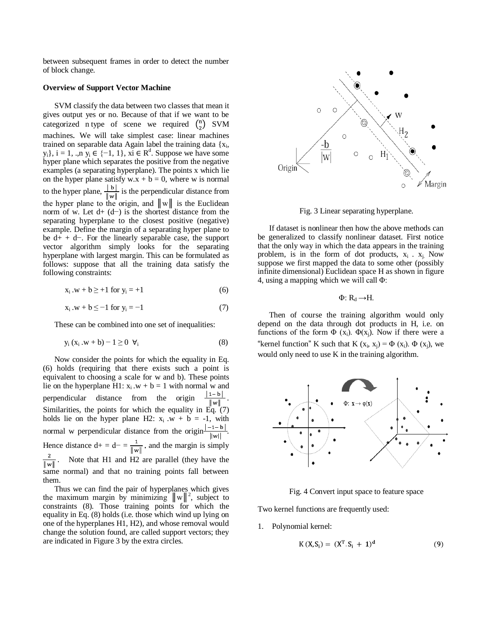between subsequent frames in order to detect the number of block change.

## **Overview of Support Vector Machine**

SVM classify the data between two classes that mean it gives output yes or no. Because of that if we want to be categorized n type of scene we required  $\binom{n}{2}$  SVM machines. We will take simplest case: linear machines trained on separable data Again label the training data  $\{x_i,$  $y_i$ ,  $i = 1$ , .,n  $y_i \in \{-1, 1\}$ ,  $xi \in \mathbb{R}^d$ . Suppose we have some hyper plane which separates the positive from the negative examples (a separating hyperplane). The points x which lie on the hyper plane satisfy  $w.x + b = 0$ , where w is normal to the hyper plane,  $\frac{\mid b \mid}{\|w\|}$  is the perpendicular distance from the hyper plane to the origin, and  $||w||$  is the Euclidean norm of w. Let d+ (d−) is the shortest distance from the separating hyperplane to the closest positive (negative) example. Define the margin of a separating hyper plane to be d+ + d−. For the linearly separable case, the support vector algorithm simply looks for the separating hyperplane with largest margin. This can be formulated as follows: suppose that all the training data satisfy the following constraints:

$$
x_i . w + b \ge +1
$$
 for  $y_i = +1$  (6)

$$
x_i . w + b \le -1 \text{ for } y_i = -1 \tag{7}
$$

These can be combined into one set of inequalities:

$$
y_i(x_i . w + b) - 1 \ge 0 \ \forall_i
$$
 (8)

Now consider the points for which the equality in Eq. (6) holds (requiring that there exists such a point is equivalent to choosing a scale for w and b). These points lie on the hyperplane H1:  $x_i$   $w + b = 1$  with normal w and<br>nernendicular distance from the origin  $\frac{|1-b|}{|1-b|}$ . perpendicular distance from the origin  $\|w\|$ Similarities, the points for which the equality in Eq. (7) holds lie on the hyper plane H2:  $x_i$   $\cdot w$  + b = -1, with normal w perpendicular distance from the origin $\frac{|-1-b|}{|b|}$ . Hence distance  $d+ = d- = \frac{1}{\|w\|}$  and the margin is simply Note that H1 and H2 are parallel (they have the  $\overline{\|w\|}$ same normal) and that no training points fall between them.

Thus we can find the pair of hyperplanes which gives the maximum margin by minimizing  $||w||^2$ , subject to constraints (8). Those training points for which the equality in Eq. (8) holds (i.e. those which wind up lying on one of the hyperplanes H1, H2), and whose removal would change the solution found, are called support vectors; they are indicated in Figure 3 by the extra circles.



Fig. 3 Linear separating hyperplane.

If dataset is nonlinear then how the above methods can be generalized to classify nonlinear dataset. First notice that the only way in which the data appears in the training problem, is in the form of dot products,  $x_i$ .  $x_j$ . Now suppose we first mapped the data to some other (possibly infinite dimensional) Euclidean space H as shown in figure 4, using a mapping which we will call Φ:

 $Φ: R<sub>d</sub> \rightarrow H.$ 

Then of course the training algorithm would only depend on the data through dot products in H, i.e. on functions of the form  $\Phi$  (x<sub>i</sub>).  $\Phi$ (x<sub>i</sub>). Now if there were a "kernel function" K such that K  $(x_i, x_j) = \Phi(x_i)$ .  $\Phi(x_j)$ , we would only need to use K in the training algorithm.



Fig. 4 Convert input space to feature space

Two kernel functions are frequently used:

1. Polynomial kernel:

$$
K(X, S_i) = (X^T S_i + 1)^d
$$
 (9)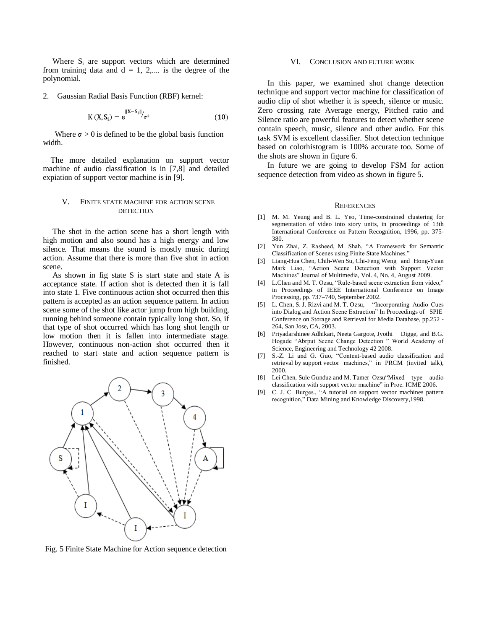Where  $S_i$  are support vectors which are determined from training data and  $d = 1, 2,...$  is the degree of the polynomial.

2. Gaussian Radial Basis Function (RBF) kernel:

$$
K(X, S_i) = e^{||X - S_i||} / \sigma^2
$$
 (10)

Where  $\sigma > 0$  is defined to be the global basis function width.

 The more detailed explanation on support vector machine of audio classification is in [7,8] and detailed expiation of support vector machine is in [9].

## V. FINITE STATE MACHINE FOR ACTION SCENE **DETECTION**

 The shot in the action scene has a short length with high motion and also sound has a high energy and low silence. That means the sound is mostly music during action. Assume that there is more than five shot in action scene.

 As shown in fig state S is start state and state A is acceptance state. If action shot is detected then it is fall into state 1. Five continuous action shot occurred then this pattern is accepted as an action sequence pattern. In action scene some of the shot like actor jump from high building, running behind someone contain typically long shot. So, if that type of shot occurred which has long shot length or low motion then it is fallen into intermediate stage. However, continuous non-action shot occurred then it reached to start state and action sequence pattern is finished.



Fig. 5 Finite State Machine for Action sequence detection

## VI. CONCLUSION AND FUTURE WORK

 In this paper, we examined shot change detection technique and support vector machine for classification of audio clip of shot whether it is speech, silence or music. Zero crossing rate Average energy, Pitched ratio and Silence ratio are powerful features to detect whether scene contain speech, music, silence and other audio. For this task SVM is excellent classifier. Shot detection technique based on colorhistogram is 100% accurate too. Some of the shots are shown in figure 6.

 In future we are going to develop FSM for action sequence detection from video as shown in figure 5.

#### **REFERENCES**

- [1] M. M. Yeung and B. L. Yeo, Time-constrained clustering for segmentation of video into story units, in proceedings of 13th International Conference on Pattern Recognition, 1996, pp. 375- 380.
- [2] Yun Zhai, Z. Rasheed, M. Shah, "A Framework for Semantic Classification of Scenes using Finite State Machines."
- [3] Liang-Hua Chen, Chih-Wen Su, Chi-Feng Weng and Hong-Yuan Mark Liao, "Action Scene Detection with Support Vector Machines" Journal of Multimedia, Vol. 4, No. 4, August 2009.
- [4] L.Chen and M. T. Ozsu, "Rule-based scene extraction from video," in Proceedings of IEEE International Conference on Image Processing, pp. 737–740, September 2002.
- [5] L. Chen, S. J. Rizvi and M. T. Ozsu, "Incorporating Audio Cues into Dialog and Action Scene Extraction" In Proceedings of SPIE Conference on Storage and Retrieval for Media Database, pp.252 - 264, San Jose, CA, 2003.
- [6] Priyadarshinee Adhikari, Neeta Gargote, Jyothi Digge, and B.G. Hogade "Abrput Scene Change Detection " World Academy of Science, Engineering and Technology 42 2008.
- [7] S.-Z. Li and G. Guo, "Content-based audio classification and retrieval by support vector machines," in PRCM (invited talk), 2000.
- [8] Lei Chen, Sule Gunduz and M. Tamer Ozsu"Mixed type audio classification with support vector machine" in Proc. ICME 2006.
- [9] C. J. C. Burges., "A tutorial on support vector machines pattern recognition," Data Mining and Knowledge Discovery,1998.